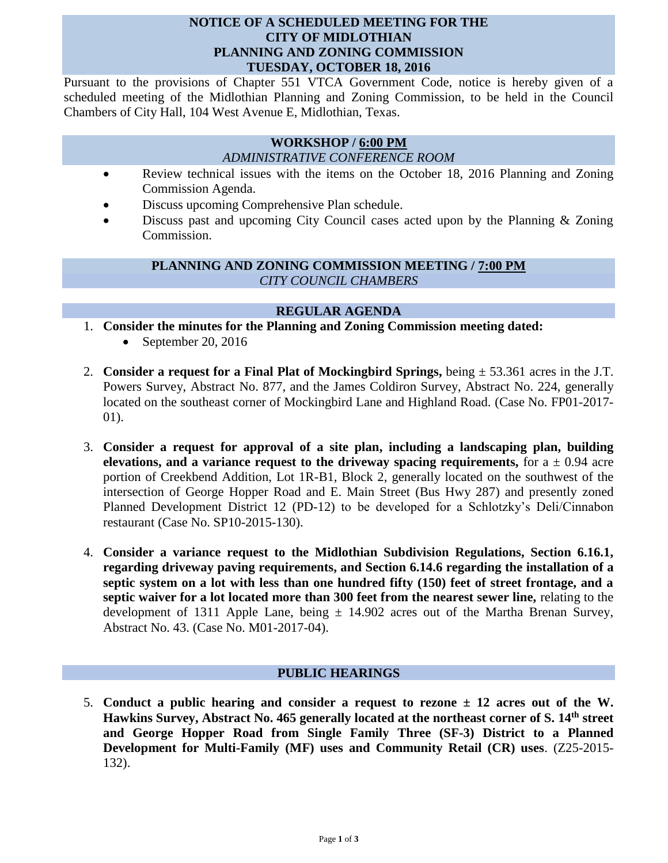### **NOTICE OF A SCHEDULED MEETING FOR THE CITY OF MIDLOTHIAN PLANNING AND ZONING COMMISSION TUESDAY, OCTOBER 18, 2016**

Pursuant to the provisions of Chapter 551 VTCA Government Code, notice is hereby given of a scheduled meeting of the Midlothian Planning and Zoning Commission, to be held in the Council Chambers of City Hall, 104 West Avenue E, Midlothian, Texas.

#### **WORKSHOP / 6:00 PM** *ADMINISTRATIVE CONFERENCE ROOM*

- Review technical issues with the items on the October 18, 2016 Planning and Zoning Commission Agenda.
- Discuss upcoming Comprehensive Plan schedule.
- Discuss past and upcoming City Council cases acted upon by the Planning & Zoning Commission.

# **PLANNING AND ZONING COMMISSION MEETING / 7:00 PM** *CITY COUNCIL CHAMBERS*

# **REGULAR AGENDA**

- 1. **Consider the minutes for the Planning and Zoning Commission meeting dated:** 
	- September 20, 2016
- 2. **Consider a request for a Final Plat of Mockingbird Springs,** being ± 53.361 acres in the J.T. Powers Survey, Abstract No. 877, and the James Coldiron Survey, Abstract No. 224, generally located on the southeast corner of Mockingbird Lane and Highland Road. (Case No. FP01-2017- 01).
- 3. **Consider a request for approval of a site plan, including a landscaping plan, building elevations, and a variance request to the driveway spacing requirements,** for  $a \pm 0.94$  acre portion of Creekbend Addition, Lot 1R-B1, Block 2, generally located on the southwest of the intersection of George Hopper Road and E. Main Street (Bus Hwy 287) and presently zoned Planned Development District 12 (PD-12) to be developed for a Schlotzky's Deli/Cinnabon restaurant (Case No. SP10-2015-130).
- 4. **Consider a variance request to the Midlothian Subdivision Regulations, Section 6.16.1, regarding driveway paving requirements, and Section 6.14.6 regarding the installation of a septic system on a lot with less than one hundred fifty (150) feet of street frontage, and a septic waiver for a lot located more than 300 feet from the nearest sewer line,** relating to the development of 1311 Apple Lane, being  $\pm$  14.902 acres out of the Martha Brenan Survey, Abstract No. 43. (Case No. M01-2017-04).

## **PUBLIC HEARINGS**

5. **Conduct a public hearing and consider a request to rezone ± 12 acres out of the W. Hawkins Survey, Abstract No. 465 generally located at the northeast corner of S. 14th street and George Hopper Road from Single Family Three (SF-3) District to a Planned Development for Multi-Family (MF) uses and Community Retail (CR) uses**. (Z25-2015- 132).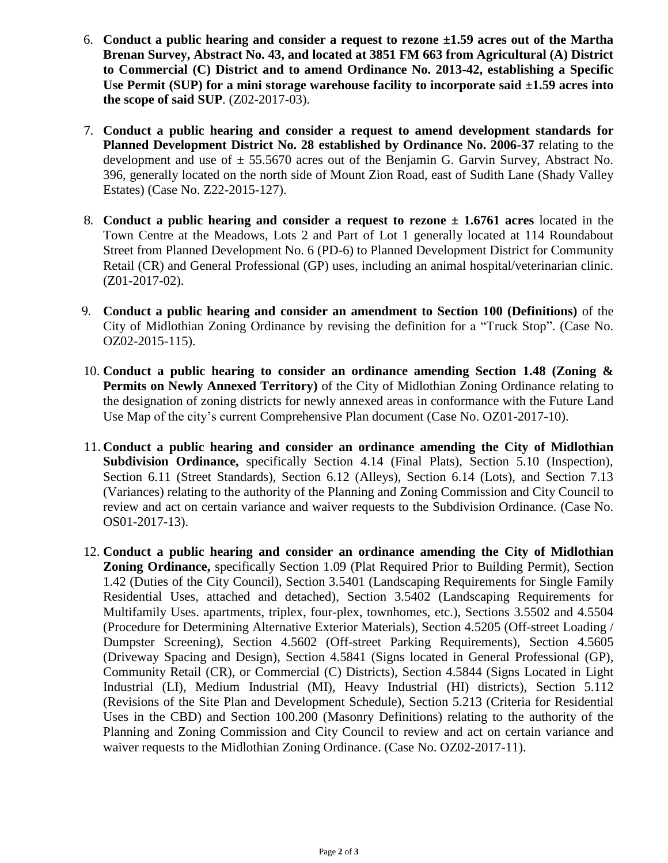- 6. **Conduct a public hearing and consider a request to rezone ±1.59 acres out of the Martha Brenan Survey, Abstract No. 43, and located at 3851 FM 663 from Agricultural (A) District to Commercial (C) District and to amend Ordinance No. 2013-42, establishing a Specific Use Permit (SUP) for a mini storage warehouse facility to incorporate said ±1.59 acres into the scope of said SUP**. (Z02-2017-03).
- 7. **Conduct a public hearing and consider a request to amend development standards for Planned Development District No. 28 established by Ordinance No. 2006-37** relating to the development and use of  $\pm$  55.5670 acres out of the Benjamin G. Garvin Survey, Abstract No. 396, generally located on the north side of Mount Zion Road, east of Sudith Lane (Shady Valley Estates) (Case No. Z22-2015-127).
- 8. **Conduct a public hearing and consider a request to rezone ± 1.6761 acres** located in the Town Centre at the Meadows, Lots 2 and Part of Lot 1 generally located at 114 Roundabout Street from Planned Development No. 6 (PD-6) to Planned Development District for Community Retail (CR) and General Professional (GP) uses, including an animal hospital/veterinarian clinic. (Z01-2017-02).
- 9. **Conduct a public hearing and consider an amendment to Section 100 (Definitions)** of the City of Midlothian Zoning Ordinance by revising the definition for a "Truck Stop". (Case No. OZ02-2015-115).
- 10. **Conduct a public hearing to consider an ordinance amending Section 1.48 (Zoning & Permits on Newly Annexed Territory)** of the City of Midlothian Zoning Ordinance relating to the designation of zoning districts for newly annexed areas in conformance with the Future Land Use Map of the city's current Comprehensive Plan document (Case No. OZ01-2017-10).
- 11. **Conduct a public hearing and consider an ordinance amending the City of Midlothian Subdivision Ordinance,** specifically Section 4.14 (Final Plats), Section 5.10 (Inspection), Section 6.11 (Street Standards), Section 6.12 (Alleys), Section 6.14 (Lots), and Section 7.13 (Variances) relating to the authority of the Planning and Zoning Commission and City Council to review and act on certain variance and waiver requests to the Subdivision Ordinance. (Case No. OS01-2017-13).
- 12. **Conduct a public hearing and consider an ordinance amending the City of Midlothian Zoning Ordinance,** specifically Section 1.09 (Plat Required Prior to Building Permit), Section 1.42 (Duties of the City Council), Section 3.5401 (Landscaping Requirements for Single Family Residential Uses, attached and detached), Section 3.5402 (Landscaping Requirements for Multifamily Uses. apartments, triplex, four-plex, townhomes, etc.), Sections 3.5502 and 4.5504 (Procedure for Determining Alternative Exterior Materials), Section 4.5205 (Off-street Loading / Dumpster Screening), Section 4.5602 (Off-street Parking Requirements), Section 4.5605 (Driveway Spacing and Design), Section 4.5841 (Signs located in General Professional (GP), Community Retail (CR), or Commercial (C) Districts), Section 4.5844 (Signs Located in Light Industrial (LI), Medium Industrial (MI), Heavy Industrial (HI) districts), Section 5.112 (Revisions of the Site Plan and Development Schedule), Section 5.213 (Criteria for Residential Uses in the CBD) and Section 100.200 (Masonry Definitions) relating to the authority of the Planning and Zoning Commission and City Council to review and act on certain variance and waiver requests to the Midlothian Zoning Ordinance. (Case No. OZ02-2017-11).